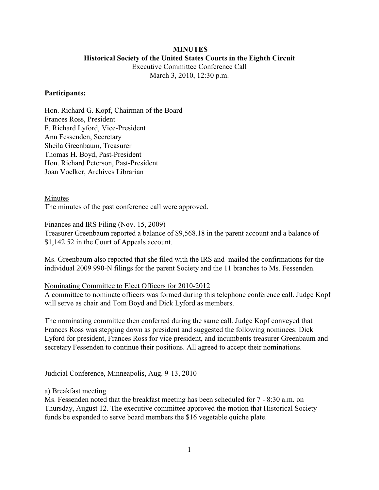# **MINUTES Historical Society of the United States Courts in the Eighth Circuit**

Executive Committee Conference Call March 3, 2010, 12:30 p.m.

#### **Participants:**

Hon. Richard G. Kopf, Chairman of the Board Frances Ross, President F. Richard Lyford, Vice-President Ann Fessenden, Secretary Sheila Greenbaum, Treasurer Thomas H. Boyd, Past-President Hon. Richard Peterson, Past-President Joan Voelker, Archives Librarian

Minutes

The minutes of the past conference call were approved.

Finances and IRS Filing (Nov. 15, 2009)

Treasurer Greenbaum reported a balance of \$9,568.18 in the parent account and a balance of \$1,142.52 in the Court of Appeals account.

Ms. Greenbaum also reported that she filed with the IRS and mailed the confirmations for the individual 2009 990-N filings for the parent Society and the 11 branches to Ms. Fessenden.

#### Nominating Committee to Elect Officers for 2010-2012

A committee to nominate officers was formed during this telephone conference call. Judge Kopf will serve as chair and Tom Boyd and Dick Lyford as members.

The nominating committee then conferred during the same call. Judge Kopf conveyed that Frances Ross was stepping down as president and suggested the following nominees: Dick Lyford for president, Frances Ross for vice president, and incumbents treasurer Greenbaum and secretary Fessenden to continue their positions. All agreed to accept their nominations.

#### Judicial Conference, Minneapolis, Aug. 9-13, 2010

a) Breakfast meeting

Ms. Fessenden noted that the breakfast meeting has been scheduled for 7 - 8:30 a.m. on Thursday, August 12. The executive committee approved the motion that Historical Society funds be expended to serve board members the \$16 vegetable quiche plate.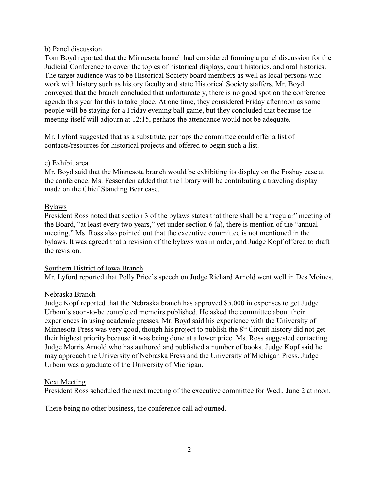## b) Panel discussion

Tom Boyd reported that the Minnesota branch had considered forming a panel discussion for the Judicial Conference to cover the topics of historical displays, court histories, and oral histories. The target audience was to be Historical Society board members as well as local persons who work with history such as history faculty and state Historical Society staffers. Mr. Boyd conveyed that the branch concluded that unfortunately, there is no good spot on the conference agenda this year for this to take place. At one time, they considered Friday afternoon as some people will be staying for a Friday evening ball game, but they concluded that because the meeting itself will adjourn at 12:15, perhaps the attendance would not be adequate.

Mr. Lyford suggested that as a substitute, perhaps the committee could offer a list of contacts/resources for historical projects and offered to begin such a list.

## c) Exhibit area

Mr. Boyd said that the Minnesota branch would be exhibiting its display on the Foshay case at the conference. Ms. Fessenden added that the library will be contributing a traveling display made on the Chief Standing Bear case.

#### Bylaws

President Ross noted that section 3 of the bylaws states that there shall be a "regular" meeting of the Board, "at least every two years," yet under section 6 (a), there is mention of the "annual meeting." Ms. Ross also pointed out that the executive committee is not mentioned in the bylaws. It was agreed that a revision of the bylaws was in order, and Judge Kopf offered to draft the revision.

## Southern District of Iowa Branch

Mr. Lyford reported that Polly Price's speech on Judge Richard Arnold went well in Des Moines.

## Nebraska Branch

Judge Kopf reported that the Nebraska branch has approved \$5,000 in expenses to get Judge Urbom's soon-to-be completed memoirs published. He asked the committee about their experiences in using academic presses. Mr. Boyd said his experience with the University of Minnesota Press was very good, though his project to publish the 8<sup>th</sup> Circuit history did not get their highest priority because it was being done at a lower price. Ms. Ross suggested contacting Judge Morris Arnold who has authored and published a number of books. Judge Kopf said he may approach the University of Nebraska Press and the University of Michigan Press. Judge Urbom was a graduate of the University of Michigan.

## Next Meeting

President Ross scheduled the next meeting of the executive committee for Wed., June 2 at noon.

There being no other business, the conference call adjourned.